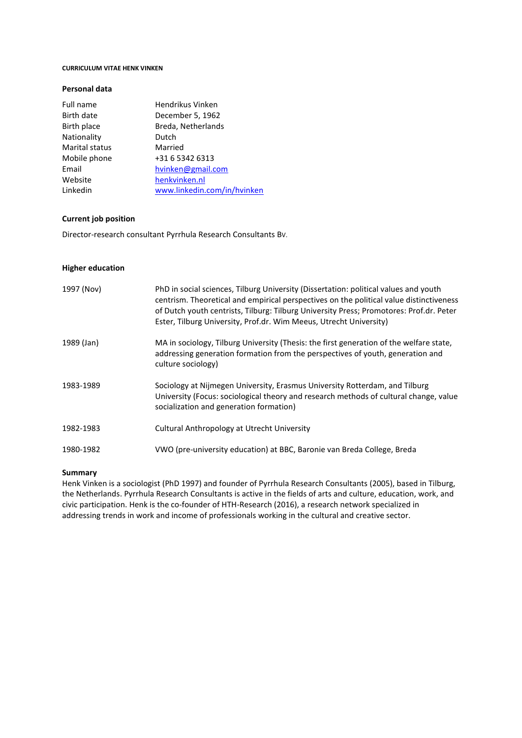#### **CURRICULUM VITAE HENK VINKEN**

## **Personal data**

| Full name      | Hendrikus Vinken            |
|----------------|-----------------------------|
| Birth date     | December 5, 1962            |
| Birth place    | Breda, Netherlands          |
| Nationality    | Dutch                       |
| Marital status | Married                     |
| Mobile phone   | +31 6 5342 6313             |
| Email          | hvinken@gmail.com           |
| Website        | henkvinken.nl               |
| Linkedin       | www.linkedin.com/in/hvinken |
|                |                             |

# **Current job position**

Director-research consultant Pyrrhula Research Consultants BV.

## **Higher education**

| 1997 (Nov) | PhD in social sciences, Tilburg University (Dissertation: political values and youth<br>centrism. Theoretical and empirical perspectives on the political value distinctiveness<br>of Dutch youth centrists, Tilburg: Tilburg University Press; Promotores: Prof.dr. Peter<br>Ester, Tilburg University, Prof.dr. Wim Meeus, Utrecht University) |
|------------|--------------------------------------------------------------------------------------------------------------------------------------------------------------------------------------------------------------------------------------------------------------------------------------------------------------------------------------------------|
| 1989 (Jan) | MA in sociology, Tilburg University (Thesis: the first generation of the welfare state,<br>addressing generation formation from the perspectives of youth, generation and<br>culture sociology)                                                                                                                                                  |
| 1983-1989  | Sociology at Nijmegen University, Erasmus University Rotterdam, and Tilburg<br>University (Focus: sociological theory and research methods of cultural change, value<br>socialization and generation formation)                                                                                                                                  |
| 1982-1983  | Cultural Anthropology at Utrecht University                                                                                                                                                                                                                                                                                                      |
| 1980-1982  | VWO (pre-university education) at BBC, Baronie van Breda College, Breda                                                                                                                                                                                                                                                                          |

# **Summary**

Henk Vinken is a sociologist (PhD 1997) and founder of Pyrrhula Research Consultants (2005), based in Tilburg, the Netherlands. Pyrrhula Research Consultants is active in the fields of arts and culture, education, work, and civic participation. Henk is the co-founder of HTH-Research (2016), a research network specialized in addressing trends in work and income of professionals working in the cultural and creative sector.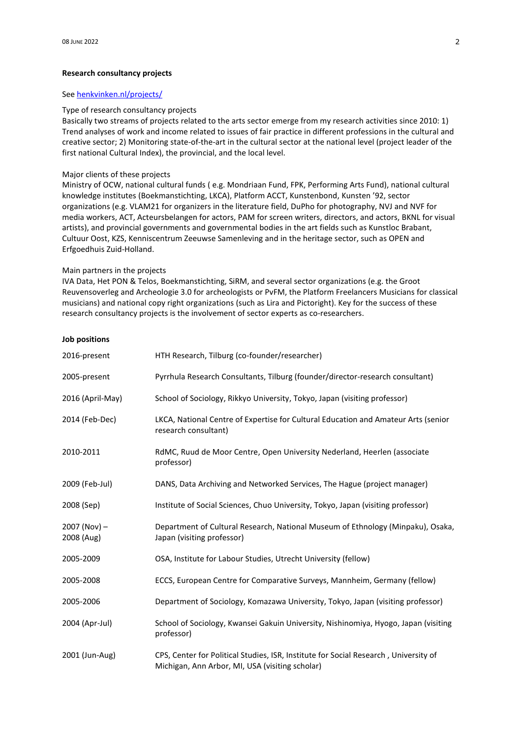#### **Research consultancy projects**

# Se[e henkvinken.nl/projects/](https://henkvinken.nl/projects)

#### Type of research consultancy projects

Basically two streams of projects related to the arts sector emerge from my research activities since 2010: 1) Trend analyses of work and income related to issues of fair practice in different professions in the cultural and creative sector; 2) Monitoring state-of-the-art in the cultural sector at the national level (project leader of the first national Cultural Index), the provincial, and the local level.

# Major clients of these projects

Ministry of OCW, national cultural funds ( e.g. Mondriaan Fund, FPK, Performing Arts Fund), national cultural knowledge institutes (Boekmanstichting, LKCA), Platform ACCT, Kunstenbond, Kunsten '92, sector organizations (e.g. VLAM21 for organizers in the literature field, DuPho for photography, NVJ and NVF for media workers, ACT, Acteursbelangen for actors, PAM for screen writers, directors, and actors, BKNL for visual artists), and provincial governments and governmental bodies in the art fields such as Kunstloc Brabant, Cultuur Oost, KZS, Kenniscentrum Zeeuwse Samenleving and in the heritage sector, such as OPEN and Erfgoedhuis Zuid-Holland.

#### Main partners in the projects

IVA Data, Het PON & Telos, Boekmanstichting, SiRM, and several sector organizations (e.g. the Groot Reuvensoverleg and Archeologie 3.0 for archeologists or PvFM, the Platform Freelancers Musicians for classical musicians) and national copy right organizations (such as Lira and Pictoright). Key for the success of these research consultancy projects is the involvement of sector experts as co-researchers.

| <b>Job positions</b>         |                                                                                                                                         |
|------------------------------|-----------------------------------------------------------------------------------------------------------------------------------------|
| 2016-present                 | HTH Research, Tilburg (co-founder/researcher)                                                                                           |
| 2005-present                 | Pyrrhula Research Consultants, Tilburg (founder/director-research consultant)                                                           |
| 2016 (April-May)             | School of Sociology, Rikkyo University, Tokyo, Japan (visiting professor)                                                               |
| 2014 (Feb-Dec)               | LKCA, National Centre of Expertise for Cultural Education and Amateur Arts (senior<br>research consultant)                              |
| 2010-2011                    | RdMC, Ruud de Moor Centre, Open University Nederland, Heerlen (associate<br>professor)                                                  |
| 2009 (Feb-Jul)               | DANS, Data Archiving and Networked Services, The Hague (project manager)                                                                |
| 2008 (Sep)                   | Institute of Social Sciences, Chuo University, Tokyo, Japan (visiting professor)                                                        |
| $2007 (Nov) -$<br>2008 (Aug) | Department of Cultural Research, National Museum of Ethnology (Minpaku), Osaka,<br>Japan (visiting professor)                           |
| 2005-2009                    | OSA, Institute for Labour Studies, Utrecht University (fellow)                                                                          |
| 2005-2008                    | ECCS, European Centre for Comparative Surveys, Mannheim, Germany (fellow)                                                               |
| 2005-2006                    | Department of Sociology, Komazawa University, Tokyo, Japan (visiting professor)                                                         |
| 2004 (Apr-Jul)               | School of Sociology, Kwansei Gakuin University, Nishinomiya, Hyogo, Japan (visiting<br>professor)                                       |
| 2001 (Jun-Aug)               | CPS, Center for Political Studies, ISR, Institute for Social Research, University of<br>Michigan, Ann Arbor, MI, USA (visiting scholar) |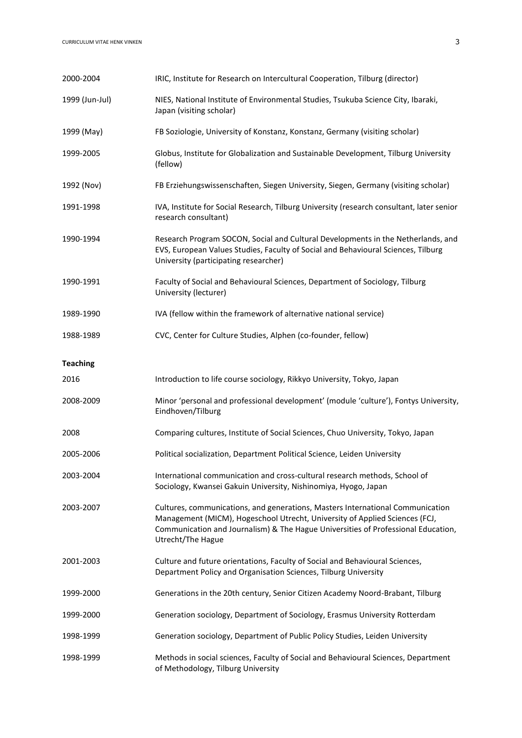| 2000-2004       | IRIC, Institute for Research on Intercultural Cooperation, Tilburg (director)                                                                                                                                                                                           |
|-----------------|-------------------------------------------------------------------------------------------------------------------------------------------------------------------------------------------------------------------------------------------------------------------------|
| 1999 (Jun-Jul)  | NIES, National Institute of Environmental Studies, Tsukuba Science City, Ibaraki,<br>Japan (visiting scholar)                                                                                                                                                           |
| 1999 (May)      | FB Soziologie, University of Konstanz, Konstanz, Germany (visiting scholar)                                                                                                                                                                                             |
| 1999-2005       | Globus, Institute for Globalization and Sustainable Development, Tilburg University<br>(fellow)                                                                                                                                                                         |
| 1992 (Nov)      | FB Erziehungswissenschaften, Siegen University, Siegen, Germany (visiting scholar)                                                                                                                                                                                      |
| 1991-1998       | IVA, Institute for Social Research, Tilburg University (research consultant, later senior<br>research consultant)                                                                                                                                                       |
| 1990-1994       | Research Program SOCON, Social and Cultural Developments in the Netherlands, and<br>EVS, European Values Studies, Faculty of Social and Behavioural Sciences, Tilburg<br>University (participating researcher)                                                          |
| 1990-1991       | Faculty of Social and Behavioural Sciences, Department of Sociology, Tilburg<br>University (lecturer)                                                                                                                                                                   |
| 1989-1990       | IVA (fellow within the framework of alternative national service)                                                                                                                                                                                                       |
| 1988-1989       | CVC, Center for Culture Studies, Alphen (co-founder, fellow)                                                                                                                                                                                                            |
| <b>Teaching</b> |                                                                                                                                                                                                                                                                         |
| 2016            | Introduction to life course sociology, Rikkyo University, Tokyo, Japan                                                                                                                                                                                                  |
| 2008-2009       | Minor 'personal and professional development' (module 'culture'), Fontys University,<br>Eindhoven/Tilburg                                                                                                                                                               |
| 2008            | Comparing cultures, Institute of Social Sciences, Chuo University, Tokyo, Japan                                                                                                                                                                                         |
| 2005-2006       | Political socialization, Department Political Science, Leiden University                                                                                                                                                                                                |
| 2003-2004       | International communication and cross-cultural research methods, School of<br>Sociology, Kwansei Gakuin University, Nishinomiya, Hyogo, Japan                                                                                                                           |
| 2003-2007       | Cultures, communications, and generations, Masters International Communication<br>Management (MICM), Hogeschool Utrecht, University of Applied Sciences (FCJ,<br>Communication and Journalism) & The Hague Universities of Professional Education,<br>Utrecht/The Hague |
| 2001-2003       | Culture and future orientations, Faculty of Social and Behavioural Sciences,<br>Department Policy and Organisation Sciences, Tilburg University                                                                                                                         |
| 1999-2000       | Generations in the 20th century, Senior Citizen Academy Noord-Brabant, Tilburg                                                                                                                                                                                          |
| 1999-2000       | Generation sociology, Department of Sociology, Erasmus University Rotterdam                                                                                                                                                                                             |
| 1998-1999       | Generation sociology, Department of Public Policy Studies, Leiden University                                                                                                                                                                                            |
| 1998-1999       | Methods in social sciences, Faculty of Social and Behavioural Sciences, Department<br>of Methodology, Tilburg University                                                                                                                                                |